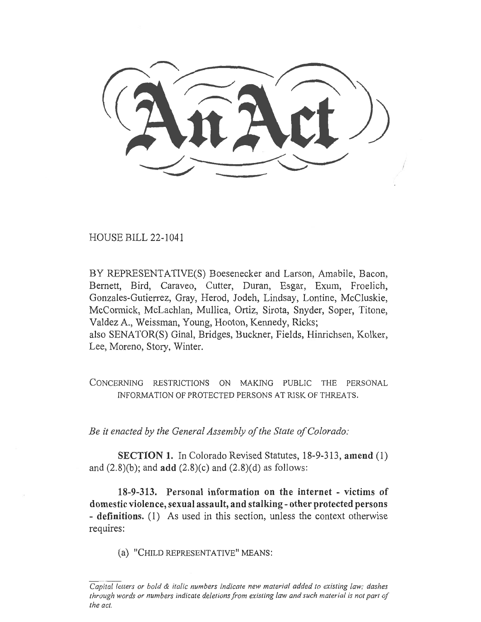(AnAct)

HOUSE BILL 22-1041

BY REPRESENTATIVE(S) Boesenecker and Larson, Amabile, Bacon, Bernett, Bird, Caraveo, Cutter, Duran, Esgar, Exum, Froelich, Gonzales-Gutierrez, Gray, Herod, Jodeh, Lindsay, Lontine, McCluskie, McCormick, McLachlan, Mullica, Ortiz, Sirota, Snyder, Soper, Titone, Valdez A., Weissman, Young, Hooton, Kennedy, Ricks; also SENATOR(S) Ginal, Bridges, Buckner, Fields, Hinrichsen, Kolker, Lee, Moreno, Story, Winter.

CONCERNING RESTRICTIONS ON MAKING PUBLIC THE PERSONAL INFORMATION OF PROTECTED PERSONS AT RISK OF THREATS.

Be it enacted by the General Assembly of the State of Colorado:

SECTION 1. In Colorado Revised Statutes, 18-9-313, amend (1) and  $(2.8)(b)$ ; and **add**  $(2.8)(c)$  and  $(2.8)(d)$  as follows:

18-9-313. Personal information on the internet - victims of domestic violence, sexual assault, and stalking - other protected persons - definitions. (1) As used in this section, unless the context otherwise requires:

(a) "CHILD REPRESENTATIVE" MEANS:

Capital letters or bold & italic numbers indicate new material added to existing law; dashes through words or numbers indicate deletions from existing law and such material is not part of the act.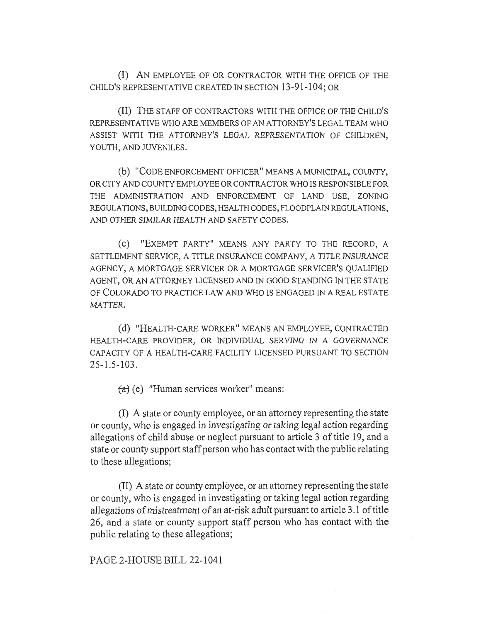(I) AN EMPLOYEE OF OR CONTRACTOR WITH THE OFFICE OF THE CHILD'S REPRESENTATIVE CREATED IN SECTION 13-91-104; OR

(II) THE STAFF OF CONTRACTORS WITH THE OFFICE OF THE CHILD'S REPRESENTATIVE WHO ARE MEMBERS OF AN ATTORNEY'S LEGAL TEAM WHO ASSIST WITH THE ATTORNEY'S LEGAL REPRESENTATION OF CHILDREN, YOUTH, AND JUVENILES.

(b) "CODE ENFORCEMENT OFFICER" MEANS A MUNICIPAL, COUNTY, OR CITY AND COUNTY EMPLOYEE OR CONTRACTOR WHO IS RESPONSIBLE FOR THE ADMINISTRATION AND ENFORCEMENT OF LAND USE, ZONING REGULATIONS, BUILDING CODES, HEALTH CODES, FLOODPLAIN REGULATIONS, AND OTHER SIMILAR HEALTH AND SAFETY CODES.

(c) "EXEMPT PARTY" MEANS ANY PARTY TO THE RECORD, A SETTLEMENT SERVICE, A TITLE INSURANCE COMPANY, A TITLE INSURANCE AGENCY, A MORTGAGE SERVICER OR A MORTGAGE SERVICER'S QUALIFIED AGENT, OR AN ATTORNEY LICENSED AND IN GOOD STANDING IN THE STATE OF COLORADO TO PRACTICE LAW AND WHO IS ENGAGED IN A REAL ESTATE MATTER.

(d) "HEALTH-CARE WORKER" MEANS AN EMPLOYEE, CONTRACTED HEALTH-CARE PROVIDER, OR INDIVIDUAL SERVING IN A GOVERNANCE CAPACITY OF A HEALTH-CARE FACILITY LICENSED PURSUANT TO SECTION 25-1.5-103.

 $(a)$  (e) "Human services worker" means:

(I) A state or county employee, or an attorney representing the state or county, who is engaged in investigating or taking legal action regarding allegations of child abuse or neglect pursuant to article 3 of title 19, and a state or county support staff person who has contact with the public relating to these allegations;

(II) A state or county employee, or an attorney representing the state or county, who is engaged in investigating or taking legal action regarding allegations of mistreatment of an at-risk adult pursuant to article 3.1 of title 26, and a state or county support staff person who has contact with the public relating to these allegations;

## PAGE 2-HOUSE BILL 22-1041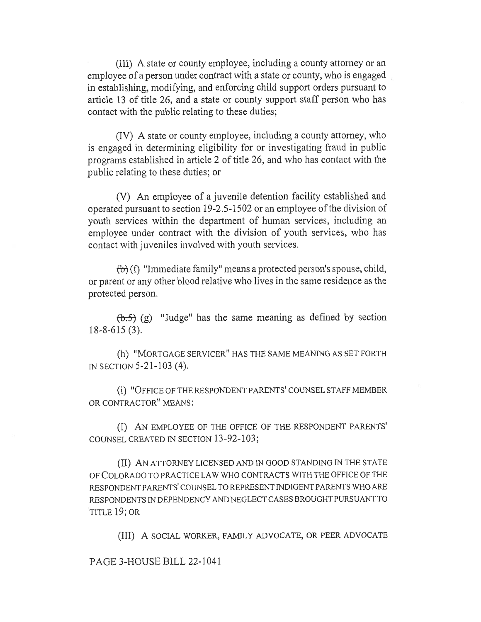(III) A state or county employee, including a county attorney or an employee of a person under contract with a state or county, who is engaged in establishing, modifying, and enforcing child support orders pursuant to article 13 of title 26, and a state or county support staff person who has contact with the public relating to these duties;

(IV) A state or county employee, including a county attorney, who is engaged in determining eligibility for or investigating fraud in public programs established in article 2 of title 26, and who has contact with the public relating to these duties; or

(V) An employee of a juvenile detention facility established and operated pursuant to section 19-2.5-1502 or an employee of the division of youth services within the department of human services, including an employee under contract with the division of youth services, who has contact with juveniles involved with youth services.

 $(b)$  (f) "Immediate family" means a protected person's spouse, child, or parent or any other blood relative who lives in the same residence as the protected person.

 $(\theta.5)$  (g) "Judge" has the same meaning as defined by section 18-8-615 (3).

(h) "MORTGAGE SERVICER" HAS THE SAME MEANING AS SET FORTH IN SECTION 5-21-103 (4).

(i) "OFFICE OF THE RESPONDENT PARENTS' COUNSEL STAFF MEMBER OR CONTRACTOR" MEANS:

(I) AN EMPLOYEE OF THE OFFICE OF THE RESPONDENT PARENTS' COUNSEL CREATED IN SECTION 13-92-103;

(II) AN ATTORNEY LICENSED AND IN GOOD STANDING IN THE STATE OF COLORADO TO PRACTICE LAW WHO CONTRACTS WITH THE OFFICE OF THE RESPONDENT PARENTS' COUNSEL TO REPRESENT INDIGENT PARENTS WHO ARE RESPONDENTS IN DEPENDENCY AND NEGLECT CASES BROUGHT PURSUANT TO TITLE 19; OR

(III) A SOCIAL WORKER, FAMILY ADVOCATE, OR PEER ADVOCATE

PAGE 3-HOUSE BILL 22-1041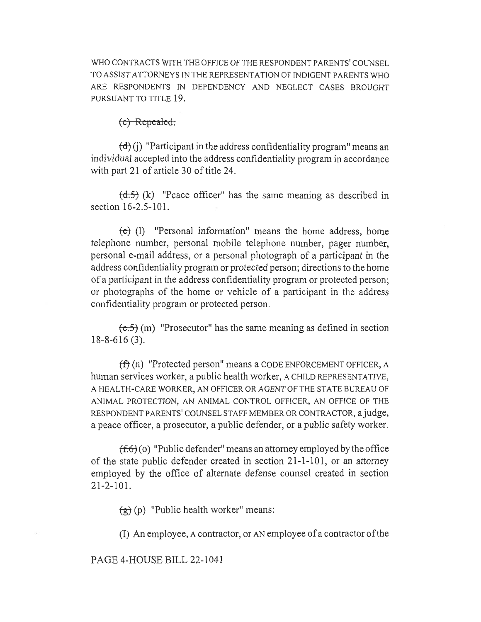WHO CONTRACTS WITH THE OFFICE OF THE RESPONDENT PARENTS' COUNSEL TO ASSIST ATTORNEYS IN THE REPRESENTATION OF INDIGENT PARENTS WHO ARE RESPONDENTS IN DEPENDENCY AND NEGLECT CASES BROUGHT PURSUANT TO TITLE 19.

 $(e)$  Repealed:

 $(d)$  (j) "Participant in the address confidentiality program" means an individual accepted into the address confidentiality program in accordance with part 21 of article 30 of title 24.

 $(\text{d.5})$  (k) "Peace officer" has the same meaning as described in section 16-2.5-101.

(e) (1) "Personal information" means the home address, home telephone number, personal mobile telephone number, pager number, personal e-mail address, or a personal photograph of a participant in the address confidentiality program or protected person; directions to the home of a participant in the address confidentiality program or protected person; or photographs of the home or vehicle of a participant in the address confidentiality program or protected person.

 $(e.5)$  (m) "Prosecutor" has the same meaning as defined in section 18-8-616 (3).

 $(f)$  (n) "Protected person" means a CODE ENFORCEMENT OFFICER, A human services worker, a public health worker, A CHILD REPRESENTATIVE, A HEALTH-CARE WORKER, AN OFFICER OR AGENT OF THE STATE BUREAU OF ANIMAL PROTECTION, AN ANIMAL CONTROL OFFICER, AN OFFICE OF THE RESPONDENT PARENTS' COUNSEL STAFF MEMBER OR CONTRACTOR, a judge, a peace officer, a prosecutor, a public defender, or a public safety worker.

 $(f.6)$  (o) "Public defender" means an attorney employed by the office of the state public defender created in section 21-1-101, or an attorney employed by the office of alternate defense counsel created in section 21-2-101.

 $(g)(p)$  "Public health worker" means:

(I) An employee, A contractor, or AN employee of a contractor of the

PAGE 4-HOUSE BILL 22-1041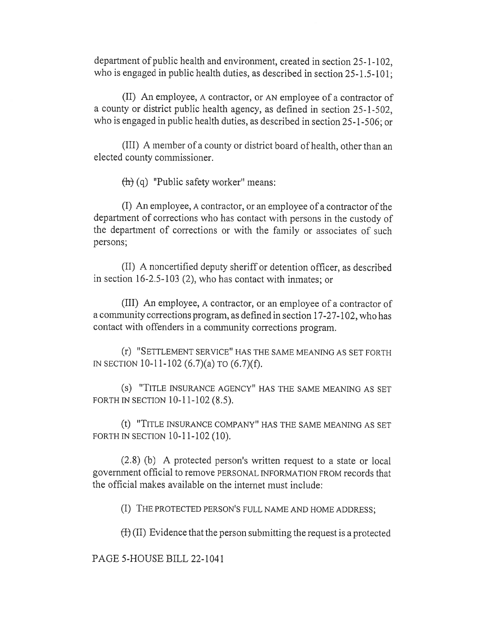department of public health and environment, created in section 25-1-102, who is engaged in public health duties, as described in section 25-1.5-101;

(II) An employee, A contractor, or AN employee of a contractor of a county or district public health agency, as defined in section 25-1-502, who is engaged in public health duties, as described in section 25-1-506; or

(III) A member of a county or district board of health, other than an elected county commissioner.

 $\left(\frac{1}{\ln}\right)$  (q) "Public safety worker" means:

(I) An employee, A contractor, or an employee of a contractor of the department of corrections who has contact with persons in the custody of the department of corrections or with the family or associates of such persons;

(II) A noncertified deputy sheriff or detention officer, as described in section 16-2.5-103 (2), who has contact with inmates; or

(III) An employee, A contractor, or an employee of a contractor of a community corrections program, as defined in section 17-27-102, who has contact with offenders in a community corrections program.

(r) "SETTLEMENT SERVICE" HAS THE SAME MEANING AS SET FORTH IN SECTION 10-11-102 (6.7)(a) TO (6.7)(f).

(s) "TITLE INSURANCE AGENCY" HAS THE SAME MEANING AS SET FORTH IN SECTION 10-11-102 (8.5).

(t) "TITLE INSURANCE COMPANY" HAS THE SAME MEANING AS SET FORTH IN SECTION 10-11-102 (10).

(2.8) (b) A protected person's written request to a state or local government official to remove PERSONAL INFORMATION FROM records that the official makes available on the internet must include:

(I) THE PROTECTED PERSON'S FULL NAME AND HOME ADDRESS;

 $(H)$  (II) Evidence that the person submitting the request is a protected

PAGE 5-HOUSE BILL 22-1041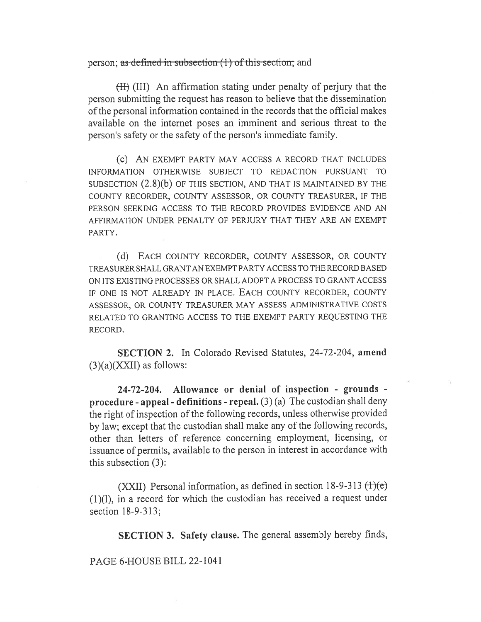## person; as defined in subsection  $(1)$  of this section; and

(II) (III) An affirmation stating under penalty of perjury that the person submitting the request has reason to believe that the dissemination of the personal information contained in the records that the official makes available on the internet poses an imminent and serious threat to the person's safety or the safety of the person's immediate family.

(c) AN EXEMPT PARTY MAY ACCESS A RECORD THAT INCLUDES INFORMATION OTHERWISE SUBJECT TO REDACTION PURSUANT TO SUBSECTION (2.8)(b) OF THIS SECTION, AND THAT IS MAINTAINED BY THE COUNTY RECORDER, COUNTY ASSESSOR, OR COUNTY TREASURER, IF THE PERSON SEEKING ACCESS TO THE RECORD PROVIDES EVIDENCE AND AN AFFIRMATION UNDER PENALTY OF PERJURY THAT THEY ARE AN EXEMPT PARTY.

(d) EACH COUNTY RECORDER, COUNTY ASSESSOR, OR COUNTY TREASURER SHALL GRANT AN EXEMPT PARTY ACCESS TO THE RECORD BASED ON ITS EXISTING PROCESSES OR SHALL ADOPT A PROCESS TO GRANT ACCESS IF ONE IS NOT ALREADY IN PLACE. EACH COUNTY RECORDER, COUNTY ASSESSOR, OR COUNTY TREASURER MAY ASSESS ADMINISTRATIVE COSTS RELATED TO GRANTING ACCESS TO THE EXEMPT PARTY REQUESTING THE RECORD.

SECTION 2. In Colorado Revised Statutes, 24-72-204, amend  $(3)(a)(XXII)$  as follows:

24-72-204. Allowance or denial of inspection - grounds procedure - appeal - definitions - repeal.  $(3)$  (a) The custodian shall deny the right of inspection of the following records, unless otherwise provided by law; except that the custodian shall make any of the following records, other than letters of reference concerning employment, licensing, or issuance of permits, available to the person in interest in accordance with this subsection (3):

(XXII) Personal information, as defined in section 18-9-313  $(\text{1})(e)$ (1)(1), in a record for which the custodian has received a request under section 18-9-313;

SECTION 3. Safety clause. The general assembly hereby finds,

## PAGE 6-HOUSE BILL 22-1041